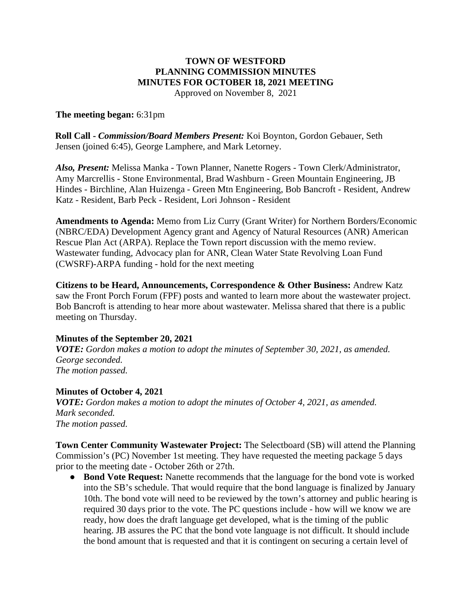## **TOWN OF WESTFORD PLANNING COMMISSION MINUTES MINUTES FOR OCTOBER 18, 2021 MEETING**

Approved on November 8, 2021

## **The meeting began:** 6:31pm

**Roll Call -** *Commission/Board Members Present:* Koi Boynton, Gordon Gebauer, Seth Jensen (joined 6:45), George Lamphere, and Mark Letorney.

*Also, Present:* Melissa Manka - Town Planner, Nanette Rogers - Town Clerk/Administrator, Amy Marcrellis - Stone Environmental, Brad Washburn - Green Mountain Engineering, JB Hindes - Birchline, Alan Huizenga - Green Mtn Engineering, Bob Bancroft - Resident, Andrew Katz - Resident, Barb Peck - Resident, Lori Johnson - Resident

**Amendments to Agenda:** Memo from Liz Curry (Grant Writer) for Northern Borders/Economic (NBRC/EDA) Development Agency grant and Agency of Natural Resources (ANR) American Rescue Plan Act (ARPA). Replace the Town report discussion with the memo review. Wastewater funding, Advocacy plan for ANR, Clean Water State Revolving Loan Fund (CWSRF)-ARPA funding - hold for the next meeting

**Citizens to be Heard, Announcements, Correspondence & Other Business:** Andrew Katz saw the Front Porch Forum (FPF) posts and wanted to learn more about the wastewater project. Bob Bancroft is attending to hear more about wastewater. Melissa shared that there is a public meeting on Thursday.

## **Minutes of the September 20, 2021**

*VOTE: Gordon makes a motion to adopt the minutes of September 30, 2021, as amended. George seconded. The motion passed.* 

## **Minutes of October 4, 2021**

*VOTE: Gordon makes a motion to adopt the minutes of October 4, 2021, as amended. Mark seconded. The motion passed.* 

**Town Center Community Wastewater Project:** The Selectboard (SB) will attend the Planning Commission's (PC) November 1st meeting. They have requested the meeting package 5 days prior to the meeting date - October 26th or 27th.

● **Bond Vote Request:** Nanette recommends that the language for the bond vote is worked into the SB's schedule. That would require that the bond language is finalized by January 10th. The bond vote will need to be reviewed by the town's attorney and public hearing is required 30 days prior to the vote. The PC questions include - how will we know we are ready, how does the draft language get developed, what is the timing of the public hearing. JB assures the PC that the bond vote language is not difficult. It should include the bond amount that is requested and that it is contingent on securing a certain level of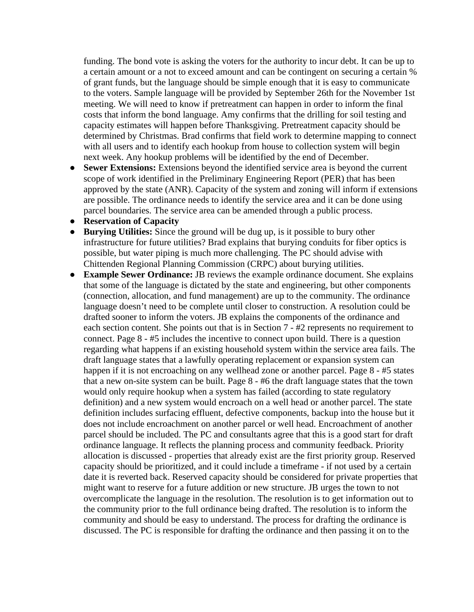funding. The bond vote is asking the voters for the authority to incur debt. It can be up to a certain amount or a not to exceed amount and can be contingent on securing a certain % of grant funds, but the language should be simple enough that it is easy to communicate to the voters. Sample language will be provided by September 26th for the November 1st meeting. We will need to know if pretreatment can happen in order to inform the final costs that inform the bond language. Amy confirms that the drilling for soil testing and capacity estimates will happen before Thanksgiving. Pretreatment capacity should be determined by Christmas. Brad confirms that field work to determine mapping to connect with all users and to identify each hookup from house to collection system will begin next week. Any hookup problems will be identified by the end of December.

- **Sewer Extensions:** Extensions beyond the identified service area is beyond the current scope of work identified in the Preliminary Engineering Report (PER) that has been approved by the state (ANR). Capacity of the system and zoning will inform if extensions are possible. The ordinance needs to identify the service area and it can be done using parcel boundaries. The service area can be amended through a public process.
- **Reservation of Capacity**
- **Burying Utilities:** Since the ground will be dug up, is it possible to bury other infrastructure for future utilities? Brad explains that burying conduits for fiber optics is possible, but water piping is much more challenging. The PC should advise with Chittenden Regional Planning Commission (CRPC) about burying utilities.
- **Example Sewer Ordinance:** JB reviews the example ordinance document. She explains that some of the language is dictated by the state and engineering, but other components (connection, allocation, and fund management) are up to the community. The ordinance language doesn't need to be complete until closer to construction. A resolution could be drafted sooner to inform the voters. JB explains the components of the ordinance and each section content. She points out that is in Section 7 - #2 represents no requirement to connect. Page 8 - #5 includes the incentive to connect upon build. There is a question regarding what happens if an existing household system within the service area fails. The draft language states that a lawfully operating replacement or expansion system can happen if it is not encroaching on any wellhead zone or another parcel. Page 8 - #5 states that a new on-site system can be built. Page 8 - #6 the draft language states that the town would only require hookup when a system has failed (according to state regulatory definition) and a new system would encroach on a well head or another parcel. The state definition includes surfacing effluent, defective components, backup into the house but it does not include encroachment on another parcel or well head. Encroachment of another parcel should be included. The PC and consultants agree that this is a good start for draft ordinance language. It reflects the planning process and community feedback. Priority allocation is discussed - properties that already exist are the first priority group. Reserved capacity should be prioritized, and it could include a timeframe - if not used by a certain date it is reverted back. Reserved capacity should be considered for private properties that might want to reserve for a future addition or new structure. JB urges the town to not overcomplicate the language in the resolution. The resolution is to get information out to the community prior to the full ordinance being drafted. The resolution is to inform the community and should be easy to understand. The process for drafting the ordinance is discussed. The PC is responsible for drafting the ordinance and then passing it on to the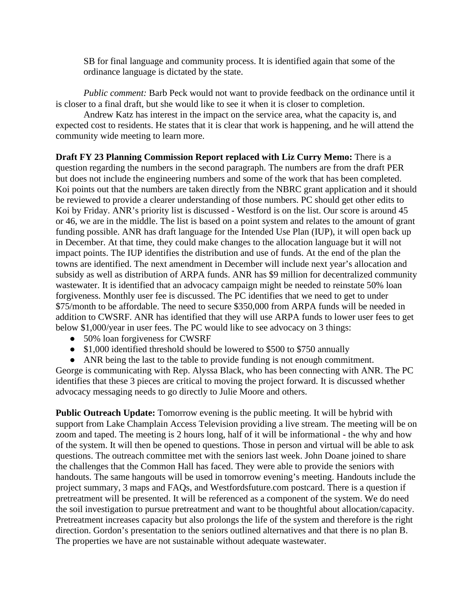SB for final language and community process. It is identified again that some of the ordinance language is dictated by the state.

*Public comment:* Barb Peck would not want to provide feedback on the ordinance until it is closer to a final draft, but she would like to see it when it is closer to completion.

Andrew Katz has interest in the impact on the service area, what the capacity is, and expected cost to residents. He states that it is clear that work is happening, and he will attend the community wide meeting to learn more.

**Draft FY 23 Planning Commission Report replaced with Liz Curry Memo:** There is a question regarding the numbers in the second paragraph. The numbers are from the draft PER but does not include the engineering numbers and some of the work that has been completed. Koi points out that the numbers are taken directly from the NBRC grant application and it should be reviewed to provide a clearer understanding of those numbers. PC should get other edits to Koi by Friday. ANR's priority list is discussed - Westford is on the list. Our score is around 45 or 46, we are in the middle. The list is based on a point system and relates to the amount of grant funding possible. ANR has draft language for the Intended Use Plan (IUP), it will open back up in December. At that time, they could make changes to the allocation language but it will not impact points. The IUP identifies the distribution and use of funds. At the end of the plan the towns are identified. The next amendment in December will include next year's allocation and subsidy as well as distribution of ARPA funds. ANR has \$9 million for decentralized community wastewater. It is identified that an advocacy campaign might be needed to reinstate 50% loan forgiveness. Monthly user fee is discussed. The PC identifies that we need to get to under \$75/month to be affordable. The need to secure \$350,000 from ARPA funds will be needed in addition to CWSRF. ANR has identified that they will use ARPA funds to lower user fees to get below \$1,000/year in user fees. The PC would like to see advocacy on 3 things:

- 50% loan forgiveness for CWSRF
- \$1,000 identified threshold should be lowered to \$500 to \$750 annually
- ANR being the last to the table to provide funding is not enough commitment.

George is communicating with Rep. Alyssa Black, who has been connecting with ANR. The PC identifies that these 3 pieces are critical to moving the project forward. It is discussed whether advocacy messaging needs to go directly to Julie Moore and others.

**Public Outreach Update:** Tomorrow evening is the public meeting. It will be hybrid with support from Lake Champlain Access Television providing a live stream. The meeting will be on zoom and taped. The meeting is 2 hours long, half of it will be informational - the why and how of the system. It will then be opened to questions. Those in person and virtual will be able to ask questions. The outreach committee met with the seniors last week. John Doane joined to share the challenges that the Common Hall has faced. They were able to provide the seniors with handouts. The same hangouts will be used in tomorrow evening's meeting. Handouts include the project summary, 3 maps and FAQs, and Westfordsfuture.com postcard. There is a question if pretreatment will be presented. It will be referenced as a component of the system. We do need the soil investigation to pursue pretreatment and want to be thoughtful about allocation/capacity. Pretreatment increases capacity but also prolongs the life of the system and therefore is the right direction. Gordon's presentation to the seniors outlined alternatives and that there is no plan B. The properties we have are not sustainable without adequate wastewater.